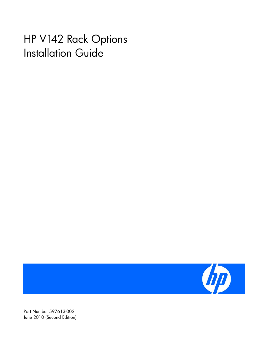# HP V142 Rack Options Installation Guide



Part Number 597613-002 June 2010 (Second Edition)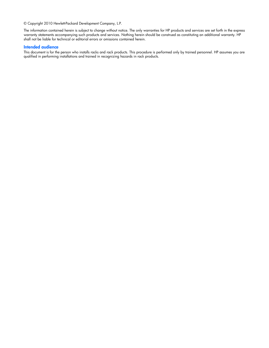© Copyright 2010 Hewlett-Packard Development Company, L.P.

The information contained herein is subject to change without notice. The only warranties for HP products and services are set forth in the express warranty statements accompanying such products and services. Nothing herein should be construed as constituting an additional warranty. HP shall not be liable for technical or editorial errors or omissions contained herein.

#### Intended audience

This document is for the person who installs racks and rack products. This procedure is performed only by trained personnel. HP assumes you are qualified in performing installations and trained in recognizing hazards in rack products.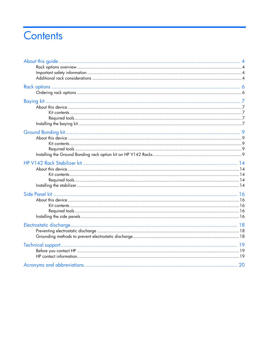# Contents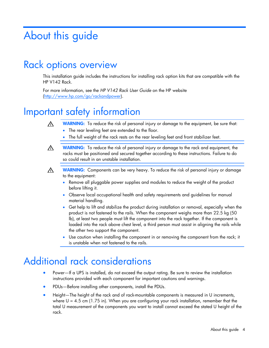# <span id="page-3-0"></span>About this guide

### Rack options overview

This installation guide includes the instructions for installing rack option kits that are compatible with the HP V142 Rack.

For more information, see the *HP V142 Rack User Guide* on the HP website [\(http://www.hp.com/go/rackandpower\)](http://www.hp.com/go/rackandpower).

## Important safety information

WARNING: To reduce the risk of personal injury or damage to the equipment, be sure that: ⚠

- The rear leveling feet are extended to the floor.
- The full weight of the rack rests on the rear leveling feet and front stabilizer feet.
- WARNING: To reduce the risk of personal injury or damage to the rack and equipment, the A racks must be positioned and secured together according to these instructions. Failure to do so could result in an unstable installation.
- ∧

WARNING: Components can be very heavy. To reduce the risk of personal injury or damage to the equipment:

- Remove all pluggable power supplies and modules to reduce the weight of the product before lifting it.
- Observe local occupational health and safety requirements and guidelines for manual material handling.
- Get help to lift and stabilize the product during installation or removal, especially when the product is not fastened to the rails. When the component weighs more than 22.5 kg (50 lb), at least two people must lift the component into the rack together. If the component is loaded into the rack above chest level, a third person must assist in aligning the rails while the other two support the component.
- Use caution when installing the component in or removing the component from the rack; it is unstable when not fastened to the rails.

# Additional rack considerations

- Power—If a UPS is installed, do not exceed the output rating. Be sure to review the installation instructions provided with each component for important cautions and warnings.
- PDUs—Before installing other components, install the PDUs.
- Height—The height of the rack and of rack-mountable components is measured in U increments, where  $U = 4.5$  cm (1.75 in). When you are configuring your rack installation, remember that the total U measurement of the components you want to install cannot exceed the stated U height of the rack.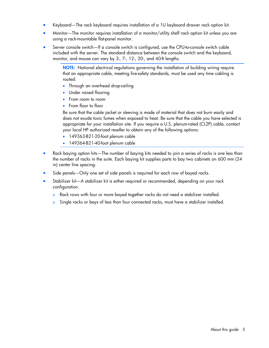- Keyboard—The rack keyboard requires installation of a 1U keyboard drawer rack option kit.
- Monitor—The monitor requires installation of a monitor/utility shelf rack option kit unless you are using a rack-mountable flat-panel monitor.
- Server console switch—If a console switch is configured, use the CPU-to-console switch cable included with the server. The standard distance between the console switch and the keyboard, monitor, and mouse can vary by 3-, 7-, 12-, 20-, and 40-ft lengths.

NOTE: National electrical regulations governing the installation of building wiring require that an appropriate cable, meeting fire-safety standards, must be used any time cabling is routed:

- Through an overhead drop-ceiling
- Under raised flooring
- From room to room
- From floor to floor

Be sure that the cable jacket or sleeving is made of material that does not burn easily and does not exude toxic fumes when exposed to heat. Be sure that the cable you have selected is appropriate for your installation site. If you require a U.S. plenum-rated (CL2P) cable, contact your local HP authorized reseller to obtain any of the following options:

- 149363-B21-20-foot plenum cable
- 149364-B21-40-foot plenum cable
- Rack baying option kits—The number of baying kits needed to join a series of racks is one less than the number of racks in the suite. Each baying kit supplies parts to bay two cabinets on 600 mm (24 in) center line spacing.
- Side panels—Only one set of side panels is required for each row of bayed racks.
- Stabilizer kit-A stabilizer kit is either required or recommended, depending on your rack configuration.
	- o Rack rows with four or more bayed together racks do not need a stabilizer installed.
	- o Single racks or bays of less than four connected racks, must have a stabilizer installed.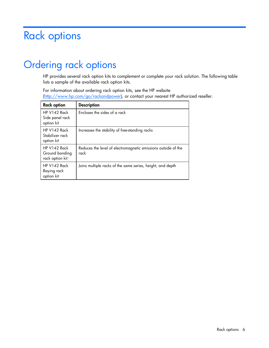# <span id="page-5-0"></span>Rack options

# Ordering rack options

HP provides several rack option kits to complement or complete your rack solution. The following table lists a sample of the available rack option kits.

For information about ordering rack option kits, see the HP website [\(http://www.hp.com/go/rackandpower\)](http://www.hp.com/go/rackandpower), or contact your nearest HP authorized reseller.

| <b>Rack option</b>                                  | <b>Description</b>                                                    |
|-----------------------------------------------------|-----------------------------------------------------------------------|
| HP V142 Rack<br>Side panel rack<br>option kit       | Encloses the sides of a rack                                          |
| HP V142 Rack<br>Stabilizer rack<br>option kit       | Increases the stability of free-standing racks                        |
| $HP V142$ Rack<br>Ground bonding<br>rack option kit | Reduces the level of electromagnetic emissions outside of the<br>rack |
| $HP V142$ Rack<br>Baying rack<br>option kit         | Joins multiple racks of the same series, height, and depth            |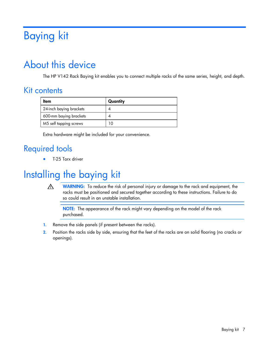# <span id="page-6-0"></span>Baying kit

# About this device

The HP V142 Rack Baying kit enables you to connect multiple racks of the same series, height, and depth.

#### Kit contents

| ltem                    | Quantity |
|-------------------------|----------|
| 24-inch baying brackets |          |
| 600-mm baying brackets  |          |
| M5 self tapping screws  | 10       |

Extra hardware might be included for your convenience.

### Required tools

• T-25 Torx driver

# Installing the baying kit

⚠ WARNING: To reduce the risk of personal injury or damage to the rack and equipment, the racks must be positioned and secured together according to these instructions. Failure to do so could result in an unstable installation.

NOTE: The appearance of the rack might vary depending on the model of the rack purchased.

- 1. Remove the side panels (if present between the racks).
- 2. Position the racks side by side, ensuring that the feet of the racks are on solid flooring (no cracks or openings).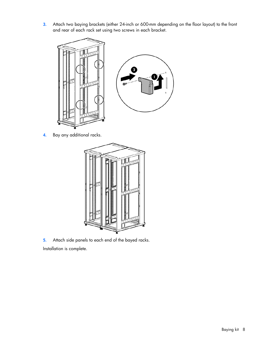3. Attach two baying brackets (either 24-inch or 600-mm depending on the floor layout) to the front and rear of each rack set using two screws in each bracket.



4. Bay any additional racks.



5. Attach side panels to each end of the bayed racks.

Installation is complete.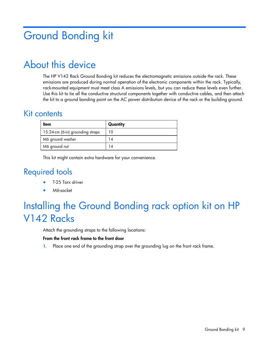# <span id="page-8-0"></span>Ground Bonding kit

## About this device

The HP V142 Rack Ground Bonding kit reduces the electromagnetic emissions outside the rack. These emissions are produced during normal operation of the electronic components within the rack. Typically, rack-mounted equipment must meet class A emissions levels, but you can reduce these levels even further. Use this kit to tie all the conductive structural components together with conductive cables, and then attach the kit to a ground bonding point on the AC power distribution device of the rack or the building ground.

#### Kit contents

| Item                             | Quantity |
|----------------------------------|----------|
| 15.24-cm (6-in) grounding straps | 10       |
| M6 ground washer                 |          |
| M6 ground nut                    |          |

This kit might contain extra hardware for your convenience.

### Required tools

- T-25 Torx driver
- M6-socket

# Installing the Ground Bonding rack option kit on HP V142 Racks

Attach the grounding straps to the following locations:

#### From the front rack frame to the front door

1. Place one end of the grounding strap over the grounding lug on the front rack frame.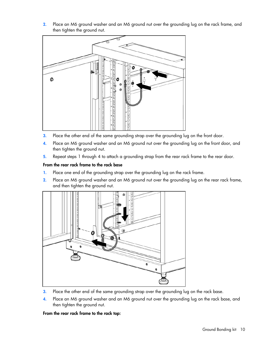2. Place an M6 ground washer and an M6 ground nut over the grounding lug on the rack frame, and then tighten the ground nut.



- 3. Place the other end of the same grounding strap over the grounding lug on the front door.
- 4. Place an M6 ground washer and an M6 ground nut over the grounding lug on the front door, and then tighten the ground nut.
- 5. Repeat steps 1 through 4 to attach a grounding strap from the rear rack frame to the rear door.

#### From the rear rack frame to the rack base

- 1. Place one end of the grounding strap over the grounding lug on the rack frame.
- 2. Place an M6 ground washer and an M6 ground nut over the grounding lug on the rear rack frame, and then tighten the ground nut.



- 3. Place the other end of the same grounding strap over the grounding lug on the rack base.
- 4. Place an M6 ground washer and an M6 ground nut over the grounding lug on the rack base, and then tighten the ground nut.

From the rear rack frame to the rack top: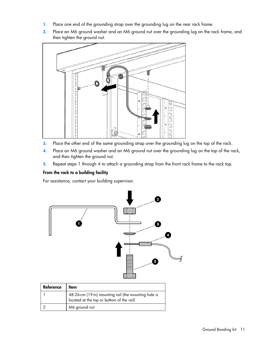- 1. Place one end of the grounding strap over the grounding lug on the rear rack frame.
- 2. Place an M6 ground washer and an M6 ground nut over the grounding lug on the rack frame, and then tighten the ground nut.



- 3. Place the other end of the same grounding strap over the grounding lug on the top of the rack.
- 4. Place an M6 ground washer and an M6 ground nut over the grounding lug on the top of the rack, and then tighten the ground nut.
- 5. Repeat steps 1 through 4 to attach a grounding strap from the front rack frame to the rack top.

#### From the rack to a building facility

For assistance, contact your building supervisor.

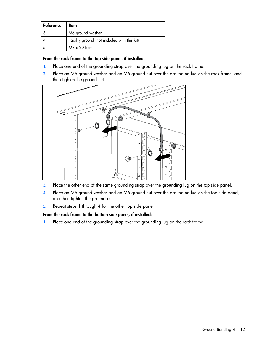| Reference | ltem                                         |
|-----------|----------------------------------------------|
|           | M6 ground washer                             |
|           | Facility ground (not included with this kit) |
|           | $MB \times 20$ bolt                          |

#### From the rack frame to the top side panel, if installed:

- 1. Place one end of the grounding strap over the grounding lug on the rack frame.
- 2. Place an M6 ground washer and an M6 ground nut over the grounding lug on the rack frame, and then tighten the ground nut.



- 3. Place the other end of the same grounding strap over the grounding lug on the top side panel.
- 4. Place an M6 ground washer and an M6 ground nut over the grounding lug on the top side panel, and then tighten the ground nut.
- 5. Repeat steps 1 through 4 for the other top side panel.

#### From the rack frame to the bottom side panel, if installed:

1. Place one end of the grounding strap over the grounding lug on the rack frame.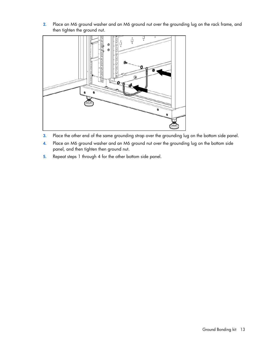2. Place an M6 ground washer and an M6 ground nut over the grounding lug on the rack frame, and then tighten the ground nut.



- 3. Place the other end of the same grounding strap over the grounding lug on the bottom side panel.
- 4. Place an M6 ground washer and an M6 ground nut over the grounding lug on the bottom side panel, and then tighten then ground nut.
- 5. Repeat steps 1 through 4 for the other bottom side panel.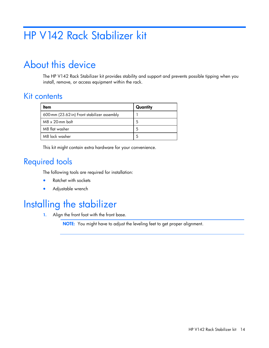# <span id="page-13-0"></span>HP V142 Rack Stabilizer kit

## About this device

The HP V142 Rack Stabilizer kit provides stability and support and prevents possible tipping when you install, remove, or access equipment within the rack.

#### Kit contents

| ltem                                        | Quantity |
|---------------------------------------------|----------|
| 600-mm (23.62-in) Front stabilizer assembly |          |
| $M8 \times 20$ -mm bolt                     | 5        |
| M8 flat washer                              | 5        |
| M8 lock washer                              | 5        |

This kit might contain extra hardware for your convenience.

### Required tools

The following tools are required for installation:

- Ratchet with sockets
- Adjustable wrench

### Installing the stabilizer

1. Align the front foot with the front base.

NOTE: You might have to adjust the leveling feet to get proper alignment.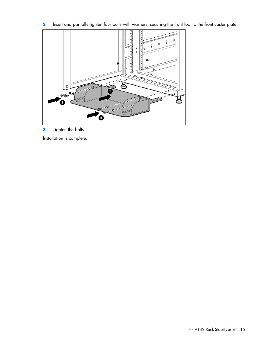2. Insert and partially tighten four bolts with washers, securing the front foot to the front caster plate.



3. Tighten the bolts.

Installation is complete.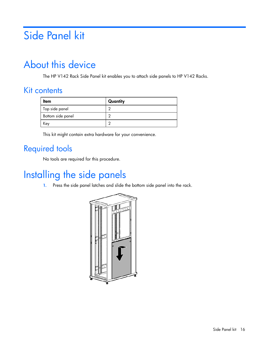# <span id="page-15-0"></span>Side Panel kit

## About this device

The HP V142 Rack Side Panel kit enables you to attach side panels to HP V142 Racks.

### Kit contents

| Item              | Quantity |
|-------------------|----------|
| Top side panel    | ╭        |
| Bottom side panel | ┍        |
| Key               | ┍        |

This kit might contain extra hardware for your convenience.

### Required tools

No tools are required for this procedure.

# Installing the side panels

1. Press the side panel latches and slide the bottom side panel into the rack.

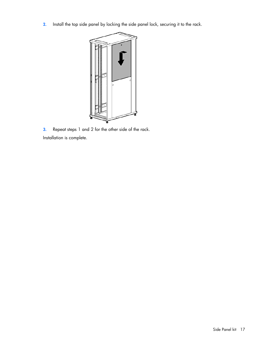2. Install the top side panel by locking the side panel lock, securing it to the rack.



3. Repeat steps 1 and 2 for the other side of the rack. Installation is complete.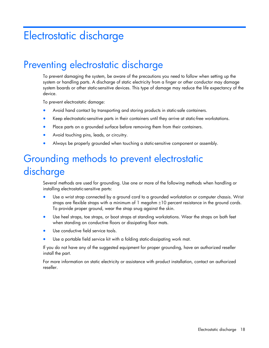# <span id="page-17-0"></span>Electrostatic discharge

## Preventing electrostatic discharge

To prevent damaging the system, be aware of the precautions you need to follow when setting up the system or handling parts. A discharge of static electricity from a finger or other conductor may damage system boards or other static-sensitive devices. This type of damage may reduce the life expectancy of the device.

To prevent electrostatic damage:

- Avoid hand contact by transporting and storing products in static-safe containers.
- Keep electrostatic-sensitive parts in their containers until they arrive at static-free workstations.
- Place parts on a grounded surface before removing them from their containers.
- Avoid touching pins, leads, or circuitry.
- Always be properly grounded when touching a static-sensitive component or assembly.

# Grounding methods to prevent electrostatic discharge

Several methods are used for grounding. Use one or more of the following methods when handling or installing electrostatic-sensitive parts:

- Use a wrist strap connected by a ground cord to a grounded workstation or computer chassis. Wrist straps are flexible straps with a minimum of  $1$  megohm  $\pm 10$  percent resistance in the ground cords. To provide proper ground, wear the strap snug against the skin.
- Use heel straps, toe straps, or boot straps at standing workstations. Wear the straps on both feet when standing on conductive floors or dissipating floor mats.
- Use conductive field service tools.
- Use a portable field service kit with a folding static-dissipating work mat.

If you do not have any of the suggested equipment for proper grounding, have an authorized reseller install the part.

For more information on static electricity or assistance with product installation, contact an authorized reseller.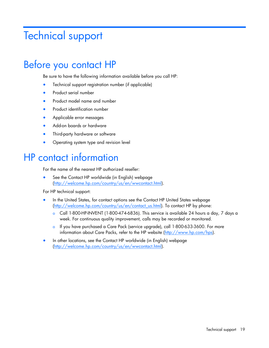# <span id="page-18-0"></span>Technical support

# Before you contact HP

Be sure to have the following information available before you call HP:

- Technical support registration number (if applicable)
- Product serial number
- Product model name and number
- Product identification number
- Applicable error messages
- Add-on boards or hardware
- Third-party hardware or software
- Operating system type and revision level

### HP contact information

For the name of the nearest HP authorized reseller:

See the Contact HP worldwide (in English) webpage [\(http://welcome.hp.com/country/us/en/wwcontact.html\)](http://welcome.hp.com/country/us/en/wwcontact.html).

For HP technical support:

- In the United States, for contact options see the Contact HP United States webpage [\(http://welcome.hp.com/country/us/en/contact\\_us.html\)](http://welcome.hp.com/country/us/en/contact_us.html). To contact HP by phone:
	- o Call 1-800-HP-INVENT (1-800-474-6836). This service is available 24 hours a day, 7 days a week. For continuous quality improvement, calls may be recorded or monitored.
	- o If you have purchased a Care Pack (service upgrade), call 1-800-633-3600. For more information about Care Packs, refer to the HP website [\(http://www.hp.com/hps\)](http://www.hp.com/hps).
- In other locations, see the Contact HP worldwide (in English) webpage [\(http://welcome.hp.com/country/us/en/wwcontact.html\)](http://welcome.hp.com/country/us/en/wwcontact.html).